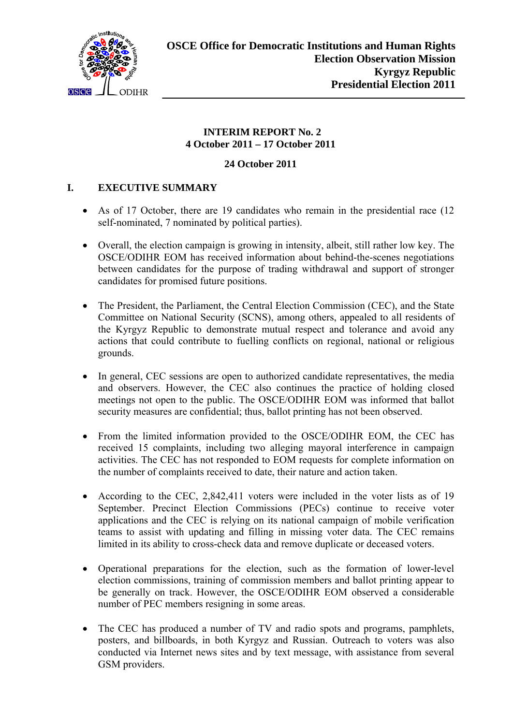

### **INTERIM REPORT No. 2 4 October 2011 – 17 October 2011**

### **24 October 2011**

### **I. EXECUTIVE SUMMARY**

- As of 17 October, there are 19 candidates who remain in the presidential race (12 self-nominated, 7 nominated by political parties).
- Overall, the election campaign is growing in intensity, albeit, still rather low key. The OSCE/ODIHR EOM has received information about behind-the-scenes negotiations between candidates for the purpose of trading withdrawal and support of stronger candidates for promised future positions.
- The President, the Parliament, the Central Election Commission (CEC), and the State Committee on National Security (SCNS), among others, appealed to all residents of the Kyrgyz Republic to demonstrate mutual respect and tolerance and avoid any actions that could contribute to fuelling conflicts on regional, national or religious grounds.
- In general, CEC sessions are open to authorized candidate representatives, the media and observers. However, the CEC also continues the practice of holding closed meetings not open to the public. The OSCE/ODIHR EOM was informed that ballot security measures are confidential; thus, ballot printing has not been observed.
- From the limited information provided to the OSCE/ODIHR EOM, the CEC has received 15 complaints, including two alleging mayoral interference in campaign activities. The CEC has not responded to EOM requests for complete information on the number of complaints received to date, their nature and action taken.
- According to the CEC, 2,842,411 voters were included in the voter lists as of 19 September. Precinct Election Commissions (PECs) continue to receive voter applications and the CEC is relying on its national campaign of mobile verification teams to assist with updating and filling in missing voter data. The CEC remains limited in its ability to cross-check data and remove duplicate or deceased voters.
- <span id="page-0-0"></span> Operational preparations for the election, such as the formation of lower-level election commissions, training of commission members and ballot printing appear to be generally on track. However, the OSCE/ODIHR EOM observed a considerable number of PEC members resigning in some areas.
- The CEC has produced a number of TV and radio spots and programs, pamphlets, posters, and billboards, in both Kyrgyz and Russian. Outreach to voters was also conducted via Internet news sites and by text message, with assistance from several GSM providers.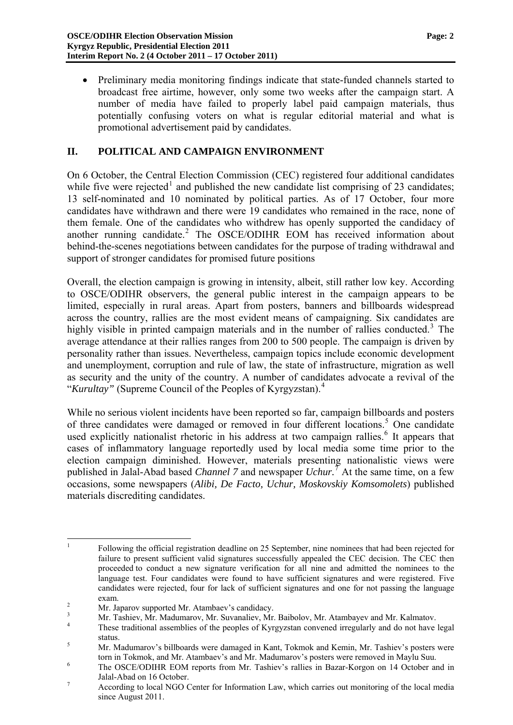Preliminary media monitoring findings indicate that state-funded channels started to broadcast free airtime, however, only some two weeks after the campaign start. A number of media have failed to properly label paid campaign materials, thus potentially confusing voters on what is regular editorial material and what is promotional advertisement paid by candidates.

### **II. POLITICAL AND CAMPAIGN ENVIRONMENT**

On 6 October, the Central Election Commission (CEC) registered four additional candidates while five were rejected<sup>[1](#page-0-0)</sup> and published the new candidate list comprising of 23 candidates; 13 self-nominated and 10 nominated by political parties. As of 17 October, four more candidates have withdrawn and there were 19 candidates who remained in the race, none of them female. One of the candidates who withdrew has openly supported the candidacy of another running candidate.<sup>[2](#page-1-0)</sup> The OSCE/ODIHR EOM has received information about behind-the-scenes negotiations between candidates for the purpose of trading withdrawal and support of stronger candidates for promised future positions

Overall, the election campaign is growing in intensity, albeit, still rather low key. According to OSCE/ODIHR observers, the general public interest in the campaign appears to be limited, especially in rural areas. Apart from posters, banners and billboards widespread across the country, rallies are the most evident means of campaigning. Six candidates are highly visible in printed campaign materials and in the number of rallies conducted.<sup>[3](#page-1-1)</sup> The average attendance at their rallies ranges from 200 to 500 people. The campaign is driven by personality rather than issues. Nevertheless, campaign topics include economic development and unemployment, corruption and rule of law, the state of infrastructure, migration as well as security and the unity of the country. A number of candidates advocate a revival of the "*Kurultay"* (Supreme Council of the Peoples of Kyrgyzstan).[4](#page-1-2)

While no serious violent incidents have been reported so far, campaign billboards and posters of three candidates were damaged or removed in four different locations.<sup>[5](#page-1-3)</sup> One candidate used explicitly nationalist rhetoric in his address at two campaign rallies.<sup>[6](#page-1-4)</sup> It appears that cases of inflammatory language reportedly used by local media some time prior to the election campaign diminished. However, materials presenting nationalistic views were published in Jalal-Abad based *Channel 7* and newspaper *Uchur.*[7](#page-1-5) At the same time, on a few occasions, some newspapers (*Alibi, De Facto, Uchur, Moskovskiy Komsomolets*) published materials discrediting candidates.

 $\frac{1}{1}$  Following the official registration deadline on 25 September, nine nominees that had been rejected for failure to present sufficient valid signatures successfully appealed the CEC decision. The CEC then proceeded to conduct a new signature verification for all nine and admitted the nominees to the language test. Four candidates were found to have sufficient signatures and were registered. Five candidates were rejected, four for lack of sufficient signatures and one for not passing the language  $\frac{1}{2}$  exam.

Mr. Japarov supported Mr. Atambaev's candidacy.

<span id="page-1-1"></span><span id="page-1-0"></span><sup>3</sup> Mr. Tashiev, Mr. Madumarov, Mr. Suvanaliev, Mr. Baibolov, Mr. Atambayev and Mr. Kalmatov.

<span id="page-1-2"></span><sup>4</sup> These traditional assemblies of the peoples of Kyrgyzstan convened irregularly and do not have legal status.

<span id="page-1-6"></span><span id="page-1-3"></span>Mr. Madumarov's billboards were damaged in Kant, Tokmok and Kemin, Mr. Tashiev's posters were torn in Tokmok, and Mr. Atambaev's and Mr. Madumarov's posters were removed in Maylu Suu.<br><sup>6</sup> The OSCE/ODUUP FOM generate from Mr. Techianic gullion in Peace Kareen, an 14 Ostalage or

<span id="page-1-4"></span>The OSCE/ODIHR EOM reports from Mr. Tashiev's rallies in Bazar-Korgon on 14 October and in Jalal-Abad on 16 October.

<span id="page-1-5"></span>According to local NGO Center for Information Law, which carries out monitoring of the local media since August 2011.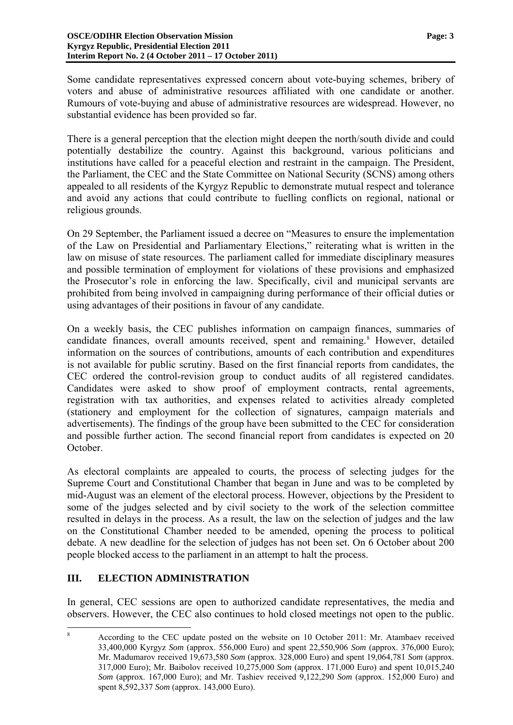Some candidate representatives expressed concern about vote-buying schemes, bribery of voters and abuse of administrative resources affiliated with one candidate or another. Rumours of vote-buying and abuse of administrative resources are widespread. However, no substantial evidence has been provided so far.

There is a general perception that the election might deepen the north/south divide and could potentially destabilize the country. Against this background, various politicians and institutions have called for a peaceful election and restraint in the campaign. The President, the Parliament, the CEC and the State Committee on National Security (SCNS) among others appealed to all residents of the Kyrgyz Republic to demonstrate mutual respect and tolerance and avoid any actions that could contribute to fuelling conflicts on regional, national or religious grounds.

On 29 September, the Parliament issued a decree on "Measures to ensure the implementation of the Law on Presidential and Parliamentary Elections," reiterating what is written in the law on misuse of state resources. The parliament called for immediate disciplinary measures and possible termination of employment for violations of these provisions and emphasized the Prosecutor's role in enforcing the law. Specifically, civil and municipal servants are prohibited from being involved in campaigning during performance of their official duties or using advantages of their positions in favour of any candidate.

On a weekly basis, the CEC publishes information on campaign finances, summaries of candidate finances, overall amounts received, spent and remaining.<sup>[8](#page-1-6)</sup> However, detailed information on the sources of contributions, amounts of each contribution and expenditures is not available for public scrutiny. Based on the first financial reports from candidates, the CEC ordered the control-revision group to conduct audits of all registered candidates. Candidates were asked to show proof of employment contracts, rental agreements, registration with tax authorities, and expenses related to activities already completed (stationery and employment for the collection of signatures, campaign materials and advertisements). The findings of the group have been submitted to the CEC for consideration and possible further action. The second financial report from candidates is expected on 20 October.

As electoral complaints are appealed to courts, the process of selecting judges for the Supreme Court and Constitutional Chamber that began in June and was to be completed by mid-August was an element of the electoral process. However, objections by the President to some of the judges selected and by civil society to the work of the selection committee resulted in delays in the process. As a result, the law on the selection of judges and the law on the Constitutional Chamber needed to be amended, opening the process to political debate. A new deadline for the selection of judges has not been set. On 6 October about 200 people blocked access to the parliament in an attempt to halt the process.

### **III. ELECTION ADMINISTRATION**

In general, CEC sessions are open to authorized candidate representatives, the media and observers. However, the CEC also continues to hold closed meetings not open to the public.

<span id="page-2-0"></span> $\frac{1}{8}$  According to the CEC update posted on the website on 10 October 2011: Mr. Аtambaev received 33,400,000 Kyrgyz *Som* (approx. 556,000 Euro) and spent 22,550,906 *Som* (approx. 376,000 Euro); Mr. Madumarov received 19,673,580 *Som* (approx. 328,000 Euro) and spent 19,064,781 *Som* (approx. 317,000 Euro); Mr. Baibolov received 10,275,000 *Som* (approx. 171,000 Euro) and spent 10,015,240 *Som* (approx. 167,000 Euro); and Mr. Tashiev received 9,122,290 *Som* (approx. 152,000 Euro) and spent 8,592,337 *Som* (approx. 143,000 Euro).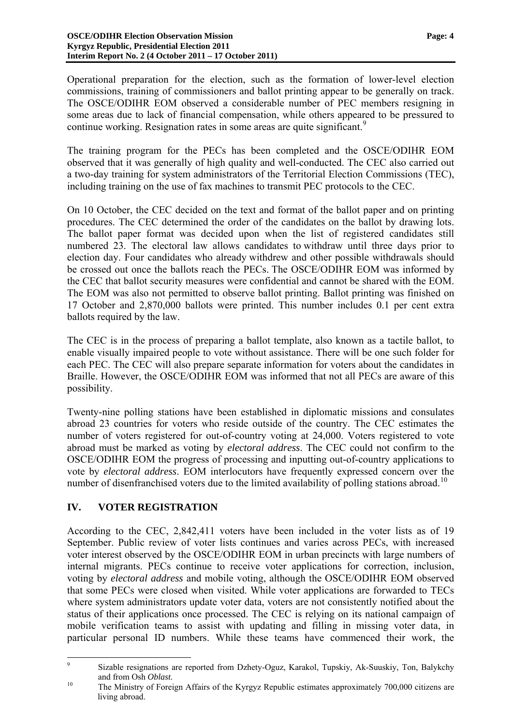Operational preparation for the election, such as the formation of lower-level election commissions, training of commissioners and ballot printing appear to be generally on track. The OSCE/ODIHR EOM observed a considerable number of PEC members resigning in some areas due to lack of financial compensation, while others appeared to be pressured to continue working. Resignation rates in some areas are quite significant.<sup>[9](#page-2-0)</sup>

The training program for the PECs has been completed and the OSCE/ODIHR EOM observed that it was generally of high quality and well-conducted. The CEC also carried out a two-day training for system administrators of the Territorial Election Commissions (TEC), including training on the use of fax machines to transmit PEC protocols to the CEC.

On 10 October, the CEC decided on the text and format of the ballot paper and on printing procedures. The CEC determined the order of the candidates on the ballot by drawing lots. The ballot paper format was decided upon when the list of registered candidates still numbered 23. The electoral law allows candidates to withdraw until three days prior to election day. Four candidates who already withdrew and other possible withdrawals should be crossed out once the ballots reach the PECs. The OSCE/ODIHR EOM was informed by the CEC that ballot security measures were confidential and cannot be shared with the EOM. The EOM was also not permitted to observe ballot printing. Ballot printing was finished on 17 October and 2,870,000 ballots were printed. This number includes 0.1 per cent extra ballots required by the law.

The CEC is in the process of preparing a ballot template, also known as a tactile ballot, to enable visually impaired people to vote without assistance. There will be one such folder for each PEC. The CEC will also prepare separate information for voters about the candidates in Braille. However, the OSCE/ODIHR EOM was informed that not all PECs are aware of this possibility.

Twenty-nine polling stations have been established in diplomatic missions and consulates abroad 23 countries for voters who reside outside of the country. The CEC estimates the number of voters registered for out-of-country voting at 24,000. Voters registered to vote abroad must be marked as voting by *electoral address*. The CEC could not confirm to the OSCE/ODIHR EOM the progress of processing and inputting out-of-country applications to vote by *electoral address*. EOM interlocutors have frequently expressed concern over the number of disenfranchised voters due to the limited availability of polling stations abroad.<sup>[10](#page-3-0)</sup>

### **IV. VOTER REGISTRATION**

According to the CEC, 2,842,411 voters have been included in the voter lists as of 19 September. Public review of voter lists continues and varies across PECs, with increased voter interest observed by the OSCE/ODIHR EOM in urban precincts with large numbers of internal migrants. PECs continue to receive voter applications for correction, inclusion, voting by *electoral address* and mobile voting, although the OSCE/ODIHR EOM observed that some PECs were closed when visited. While voter applications are forwarded to TECs where system administrators update voter data, voters are not consistently notified about the status of their applications once processed. The CEC is relying on its national campaign of mobile verification teams to assist with updating and filling in missing voter data, in particular personal ID numbers. While these teams have commenced their work, the

<sup>–&</sup>lt;br>9 Sizable resignations are reported from Dzhety-Oguz, Karakol, Tupskiy, Ak-Suuskiy, Ton, Balykchy and from Osh *Oblast*.<br><sup>10</sup> The Ministry of Foreign Affairs of the Kyrgyz Republic estimates approximately 700,000 citizens are

<span id="page-3-0"></span>living abroad.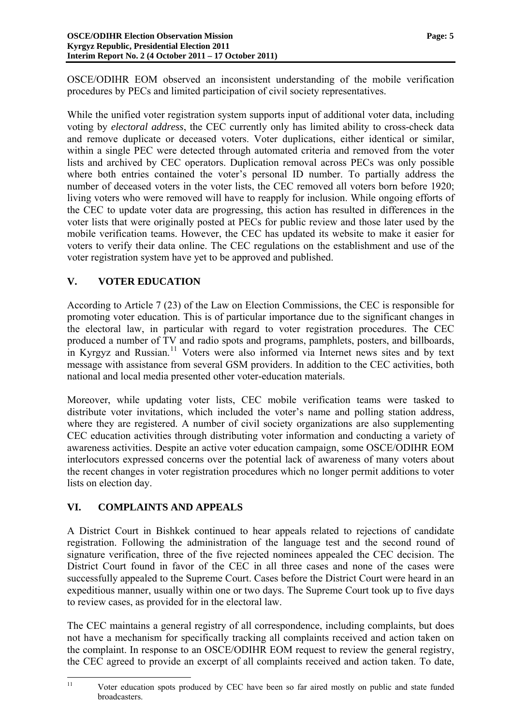OSCE/ODIHR EOM observed an inconsistent understanding of the mobile verification procedures by PECs and limited participation of civil society representatives.

While the unified voter registration system supports input of additional voter data, including voting by *electoral address*, the CEC currently only has limited ability to cross-check data and remove duplicate or deceased voters. Voter duplications, either identical or similar, within a single PEC were detected through automated criteria and removed from the voter lists and archived by CEC operators. Duplication removal across PECs was only possible where both entries contained the voter's personal ID number. To partially address the number of deceased voters in the voter lists, the CEC removed all voters born before 1920; living voters who were removed will have to reapply for inclusion. While ongoing efforts of the CEC to update voter data are progressing, this action has resulted in differences in the voter lists that were originally posted at PECs for public review and those later used by the mobile verification teams. However, the CEC has updated its website to make it easier for voters to verify their data online. The CEC regulations on the establishment and use of the voter registration system have yet to be approved and published.

# **V. VOTER EDUCATION**

According to Article 7 (23) of the Law on Election Commissions, the CEC is responsible for promoting voter education. This is of particular importance due to the significant changes in the electoral law, in particular with regard to voter registration procedures. The CEC produced a number of TV and radio spots and programs, pamphlets, posters, and billboards, in Kyrgyz and Russian.<sup>[11](#page-3-0)</sup> Voters were also informed via Internet news sites and by text message with assistance from several GSM providers. In addition to the CEC activities, both national and local media presented other voter-education materials.

Moreover, while updating voter lists, CEC mobile verification teams were tasked to distribute voter invitations, which included the voter's name and polling station address, where they are registered. A number of civil society organizations are also supplementing CEC education activities through distributing voter information and conducting a variety of awareness activities. Despite an active voter education campaign, some OSCE/ODIHR EOM interlocutors expressed concerns over the potential lack of awareness of many voters about the recent changes in voter registration procedures which no longer permit additions to voter lists on election day.

## **VI. COMPLAINTS AND APPEALS**

A District Court in Bishkek continued to hear appeals related to rejections of candidate registration. Following the administration of the language test and the second round of signature verification, three of the five rejected nominees appealed the CEC decision. The District Court found in favor of the CEC in all three cases and none of the cases were successfully appealed to the Supreme Court. Cases before the District Court were heard in an expeditious manner, usually within one or two days. The Supreme Court took up to five days to review cases, as provided for in the electoral law.

<span id="page-4-0"></span>The CEC maintains a general registry of all correspondence, including complaints, but does not have a mechanism for specifically tracking all complaints received and action taken on the complaint. In response to an OSCE/ODIHR EOM request to review the general registry, the CEC agreed to provide an excerpt of all complaints received and action taken. To date,

 $11$ Voter education spots produced by CEC have been so far aired mostly on public and state funded broadcasters.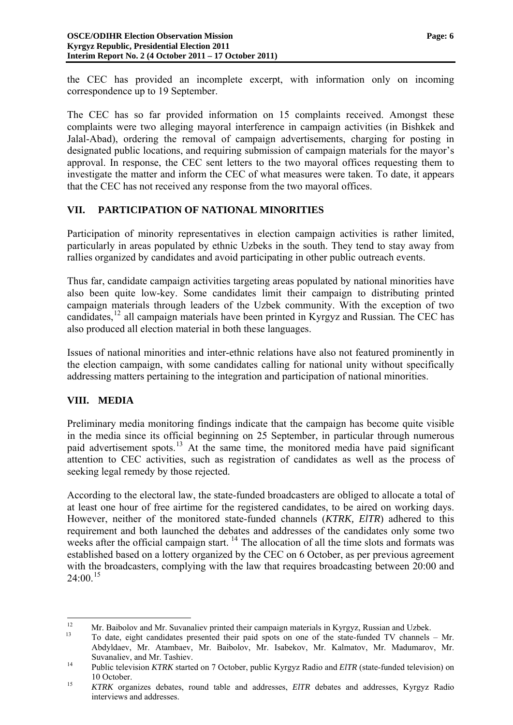the CEC has provided an incomplete excerpt, with information only on incoming correspondence up to 19 September.

The CEC has so far provided information on 15 complaints received. Amongst these complaints were two alleging mayoral interference in campaign activities (in Bishkek and Jalal-Abad), ordering the removal of campaign advertisements, charging for posting in designated public locations, and requiring submission of campaign materials for the mayor's approval. In response, the CEC sent letters to the two mayoral offices requesting them to investigate the matter and inform the CEC of what measures were taken. To date, it appears that the CEC has not received any response from the two mayoral offices.

### **VII. PARTICIPATION OF NATIONAL MINORITIES**

Participation of minority representatives in election campaign activities is rather limited, particularly in areas populated by ethnic Uzbeks in the south. They tend to stay away from rallies organized by candidates and avoid participating in other public outreach events.

Thus far, candidate campaign activities targeting areas populated by national minorities have also been quite low-key. Some candidates limit their campaign to distributing printed campaign materials through leaders of the Uzbek community. With the exception of two candidates,[12](#page-4-0) all campaign materials have been printed in Kyrgyz and Russian*.* The CEC has also produced all election material in both these languages.

Issues of national minorities and inter-ethnic relations have also not featured prominently in the election campaign, with some candidates calling for national unity without specifically addressing matters pertaining to the integration and participation of national minorities.

### **VIII. MEDIA**

Preliminary media monitoring findings indicate that the campaign has become quite visible in the media since its official beginning on 25 September, in particular through numerous paid advertisement spots.[13](#page-5-0) At the same time, the monitored media have paid significant attention to CEC activities, such as registration of candidates as well as the process of seeking legal remedy by those rejected.

According to the electoral law, the state-funded broadcasters are obliged to allocate a total of at least one hour of free airtime for the registered candidates, to be aired on working days. However, neither of the monitored state-funded channels (*KTRK, ElTR*) adhered to this requirement and both launched the debates and addresses of the candidates only some two weeks after the official campaign start.  $\frac{14}{1}$  $\frac{14}{1}$  $\frac{14}{1}$  The allocation of all the time slots and formats was established based on a lottery organized by the CEC on 6 October, as per previous agreement with the broadcasters, complying with the law that requires broadcasting between 20:00 and  $24:00^{15}$  $24:00^{15}$  $24:00^{15}$ 

 $12$ 

<span id="page-5-0"></span><sup>&</sup>lt;sup>12</sup> Mr. Baibolov and Mr. Suvanaliev printed their campaign materials in Kyrgyz, Russian and Uzbek.<br><sup>13</sup> To date, eight candidates presented their paid spots on one of the state-funded TV channels – Mr. Abdyldaev, Mr. Atambaev, Mr. Baibolov, Mr. Isabekov, Mr. Kalmatov, Mr. Madumarov, Mr. Suvanaliev, and Mr. Tashiev. 14 Public television *KTRK* started on 7 October, public Kyrgyz Radio and *ElTR* (state-funded television) on

<span id="page-5-1"></span>

<span id="page-5-3"></span><span id="page-5-2"></span><sup>10</sup> October. 15 *KTRK* organizes debates, round table and addresses, *ElTR* debates and addresses, Kyrgyz Radio interviews and addresses.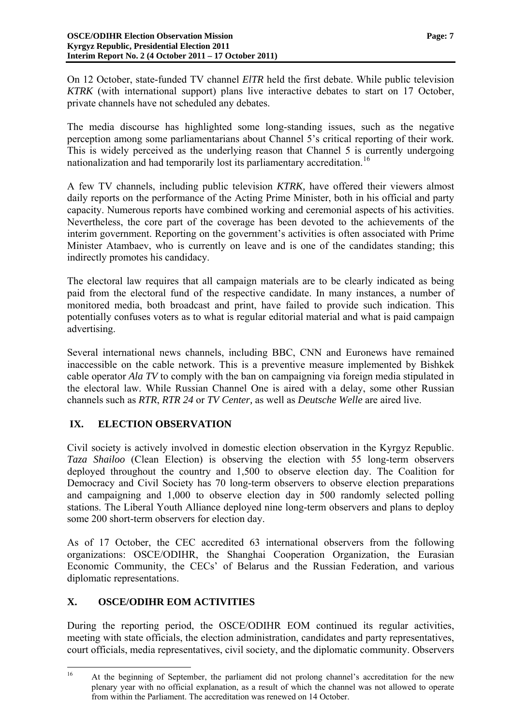On 12 October, state-funded TV channel *ElTR* held the first debate. While public television *KTRK* (with international support) plans live interactive debates to start on 17 October, private channels have not scheduled any debates.

The media discourse has highlighted some long-standing issues, such as the negative perception among some parliamentarians about Channel 5's critical reporting of their work*.*  This is widely perceived as the underlying reason that Channel 5 is currently undergoing nationalization and had temporarily lost its parliamentary accreditation.<sup>[16](#page-5-3)</sup>

A few TV channels, including public television *KTRK,* have offered their viewers almost daily reports on the performance of the Acting Prime Minister, both in his official and party capacity. Numerous reports have combined working and ceremonial aspects of his activities. Nevertheless, the core part of the coverage has been devoted to the achievements of the interim government. Reporting on the government's activities is often associated with Prime Minister Atambaev, who is currently on leave and is one of the candidates standing; this indirectly promotes his candidacy.

The electoral law requires that all campaign materials are to be clearly indicated as being paid from the electoral fund of the respective candidate. In many instances, a number of monitored media, both broadcast and print, have failed to provide such indication. This potentially confuses voters as to what is regular editorial material and what is paid campaign advertising.

Several international news channels, including BBC, CNN and Euronews have remained inaccessible on the cable network. This is a preventive measure implemented by Bishkek cable operator *Ala TV* to comply with the ban on campaigning via foreign media stipulated in the electoral law. While Russian Channel One is aired with a delay, some other Russian channels such as *RTR*, *RTR 24* or *TV Center,* as well as *Deutsche Welle* are aired live.

## **IX. ELECTION OBSERVATION**

Civil society is actively involved in domestic election observation in the Kyrgyz Republic. *Taza Shailoo* (Clean Election) is observing the election with 55 long-term observers deployed throughout the country and 1,500 to observe election day. The Coalition for Democracy and Civil Society has 70 long-term observers to observe election preparations and campaigning and 1,000 to observe election day in 500 randomly selected polling stations. The Liberal Youth Alliance deployed nine long-term observers and plans to deploy some 200 short-term observers for election day.

As of 17 October, the CEC accredited 63 international observers from the following organizations: OSCE/ODIHR, the Shanghai Cooperation Organization, the Eurasian Economic Community, the CECs' of Belarus and the Russian Federation, and various diplomatic representations.

## **X. OSCE/ODIHR EOM ACTIVITIES**

During the reporting period, the OSCE/ODIHR EOM continued its regular activities, meeting with state officials, the election administration, candidates and party representatives, court officials, media representatives, civil society, and the diplomatic community. Observers

 $16$ 16 At the beginning of September, the parliament did not prolong channel's accreditation for the new plenary year with no official explanation, as a result of which the channel was not allowed to operate from within the Parliament. The accreditation was renewed on 14 October.